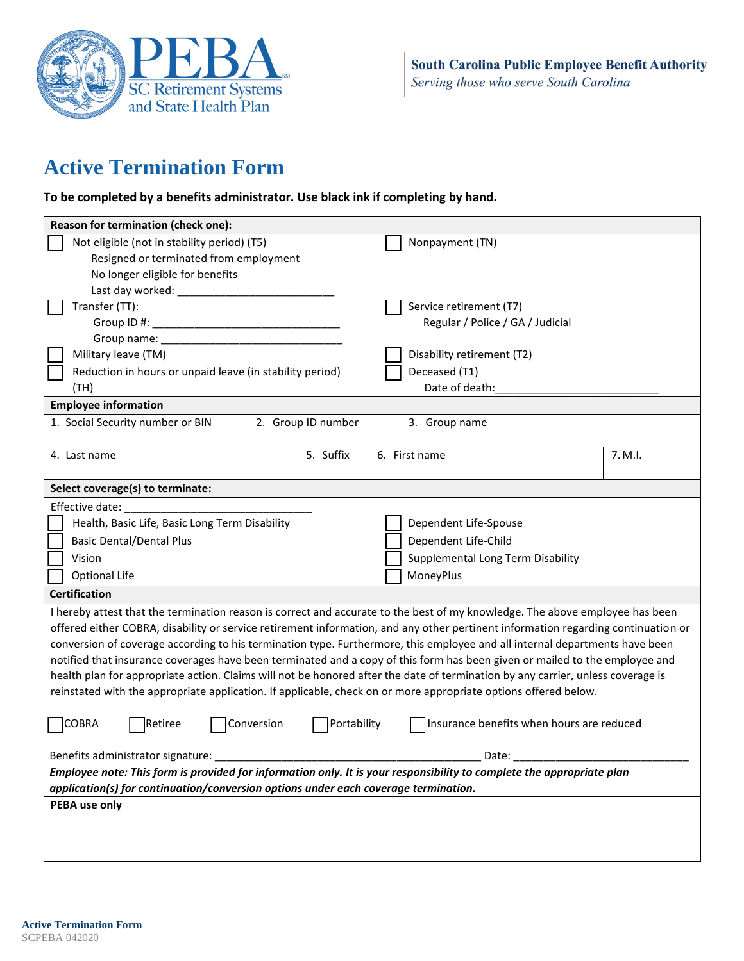

# **Active Termination Form**

**To be completed by a benefits administrator. Use black ink if completing by hand.**

| Reason for termination (check one):                                                                                               |  |               |                                   |         |
|-----------------------------------------------------------------------------------------------------------------------------------|--|---------------|-----------------------------------|---------|
| Not eligible (not in stability period) (T5)<br>Nonpayment (TN)                                                                    |  |               |                                   |         |
| Resigned or terminated from employment                                                                                            |  |               |                                   |         |
| No longer eligible for benefits                                                                                                   |  |               |                                   |         |
| Last day worked: __________                                                                                                       |  |               |                                   |         |
| Transfer (TT):                                                                                                                    |  |               | Service retirement (T7)           |         |
|                                                                                                                                   |  |               | Regular / Police / GA / Judicial  |         |
|                                                                                                                                   |  |               |                                   |         |
| Military leave (TM)                                                                                                               |  |               | Disability retirement (T2)        |         |
| Reduction in hours or unpaid leave (in stability period)                                                                          |  |               | Deceased (T1)                     |         |
| (TH)                                                                                                                              |  |               | Date of death:                    |         |
| <b>Employee information</b>                                                                                                       |  |               |                                   |         |
| 1. Social Security number or BIN<br>2. Group ID number                                                                            |  | 3. Group name |                                   |         |
|                                                                                                                                   |  |               |                                   |         |
| 4. Last name                                                                                                                      |  | 5. Suffix     | 6. First name                     | 7. M.I. |
|                                                                                                                                   |  |               |                                   |         |
| Select coverage(s) to terminate:                                                                                                  |  |               |                                   |         |
| Effective date:                                                                                                                   |  |               |                                   |         |
| Health, Basic Life, Basic Long Term Disability<br>Dependent Life-Spouse                                                           |  |               |                                   |         |
| <b>Basic Dental/Dental Plus</b>                                                                                                   |  |               | Dependent Life-Child              |         |
| Vision                                                                                                                            |  |               | Supplemental Long Term Disability |         |
| Optional Life                                                                                                                     |  |               | MoneyPlus                         |         |
| <b>Certification</b>                                                                                                              |  |               |                                   |         |
| I hereby attest that the termination reason is correct and accurate to the best of my knowledge. The above employee has been      |  |               |                                   |         |
| offered either COBRA, disability or service retirement information, and any other pertinent information regarding continuation or |  |               |                                   |         |
| conversion of coverage according to his termination type. Furthermore, this employee and all internal departments have been       |  |               |                                   |         |
| notified that insurance coverages have been terminated and a copy of this form has been given or mailed to the employee and       |  |               |                                   |         |
| health plan for appropriate action. Claims will not be honored after the date of termination by any carrier, unless coverage is   |  |               |                                   |         |
| reinstated with the appropriate application. If applicable, check on or more appropriate options offered below.                   |  |               |                                   |         |
|                                                                                                                                   |  |               |                                   |         |
| COBRA<br>Portability<br>Retiree<br>Conversion<br>Insurance benefits when hours are reduced                                        |  |               |                                   |         |
| Benefits administrator signature:<br>Date:                                                                                        |  |               |                                   |         |
| Employee note: This form is provided for information only. It is your responsibility to complete the appropriate plan             |  |               |                                   |         |
| application(s) for continuation/conversion options under each coverage termination.                                               |  |               |                                   |         |
| PEBA use only                                                                                                                     |  |               |                                   |         |
|                                                                                                                                   |  |               |                                   |         |
|                                                                                                                                   |  |               |                                   |         |
|                                                                                                                                   |  |               |                                   |         |